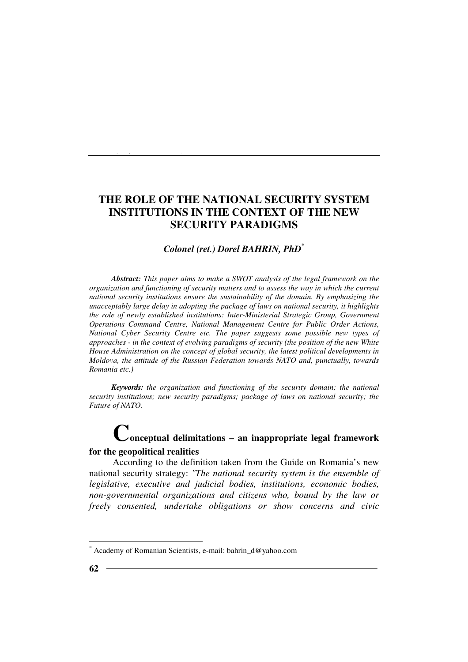### *Colonel (ret.) Dorel BAHRIN, PhD\**

*Abstract: This paper aims to make a SWOT analysis of the legal framework on the organization and functioning of security matters and to assess the way in which the current national security institutions ensure the sustainability of the domain. By emphasizing the unacceptably large delay in adopting the package of laws on national security, it highlights the role of newly established institutions: Inter-Ministerial Strategic Group, Government Operations Command Centre, National Management Centre for Public Order Actions, National Cyber Security Centre etc. The paper suggests some possible new types of approaches - in the context of evolving paradigms of security (the position of the new White House Administration on the concept of global security, the latest political developments in Moldova, the attitude of the Russian Federation towards NATO and, punctually, towards Romania etc.)* 

*Keywords: the organization and functioning of the security domain; the national security institutions; new security paradigms; package of laws on national security; the Future of NATO.* 

# **Conceptual delimitations – an inappropriate legal framework**

### **for the geopolitical realities**

*Colonel (ret.) Dorel BAHRIN, PhD*

According to the definition taken from the Guide on Romania's new national security strategy: *"The national security system is the ensemble of legislative, executive and judicial bodies, institutions, economic bodies, non-governmental organizations and citizens who, bound by the law or freely consented, undertake obligations or show concerns and civic* 

<sup>\*</sup> Academy of Romanian Scientists, e-mail: bahrin\_d@yahoo.com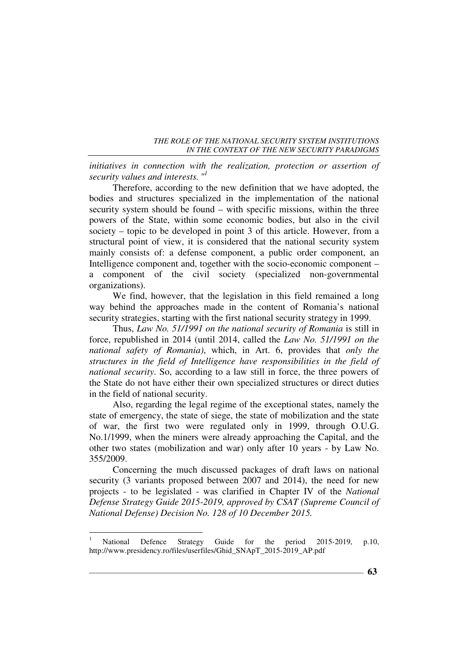*initiatives in connection with the realization, protection or assertion of security values and interests. " 1*

Therefore, according to the new definition that we have adopted, the bodies and structures specialized in the implementation of the national security system should be found – with specific missions, within the three powers of the State, within some economic bodies, but also in the civil society – topic to be developed in point 3 of this article. However, from a structural point of view, it is considered that the national security system mainly consists of: a defense component, a public order component, an Intelligence component and, together with the socio-economic component – a component of the civil society (specialized non-governmental organizations).

We find, however, that the legislation in this field remained a long way behind the approaches made in the content of Romania's national security strategies, starting with the first national security strategy in 1999.

Thus, *Law No. 51/1991 on the national security of Romania* is still in force, republished in 2014 (until 2014, called the *Law No. 51/1991 on the national safety of Romania)*, which, in Art. 6, provides that *only the structures in the field of Intelligence have responsibilities in the field of national security*. So, according to a law still in force, the three powers of the State do not have either their own specialized structures or direct duties in the field of national security.

Also, regarding the legal regime of the exceptional states, namely the state of emergency, the state of siege, the state of mobilization and the state of war, the first two were regulated only in 1999, through O.U.G. No.1/1999, when the miners were already approaching the Capital, and the other two states (mobilization and war) only after 10 years - by Law No. 355/2009.

Concerning the much discussed packages of draft laws on national security (3 variants proposed between 2007 and 2014), the need for new projects - to be legislated - was clarified in Chapter IV of the *National Defense Strategy Guide 2015-2019, approved by CSAT (Supreme Council of National Defense) Decision No. 128 of 10 December 2015.*

 $\frac{1}{1}$  National Defence Strategy Guide for the period 2015-2019, p.10, http://www.presidency.ro/files/userfiles/Ghid\_SNApT\_2015-2019\_AP.pdf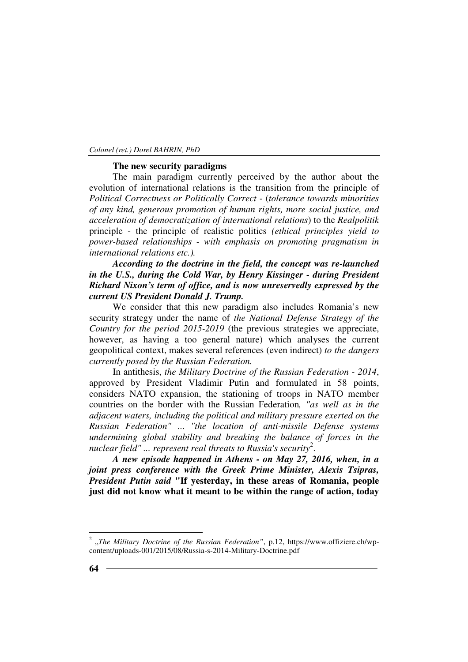#### **The new security paradigms**

The main paradigm currently perceived by the author about the evolution of international relations is the transition from the principle of *Political Correctness or Politically Correct -* (*tolerance towards minorities of any kind, generous promotion of human rights, more social justice, and acceleration of democratization of international relations*) to the *Realpolitik*  principle - the principle of realistic politics *(ethical principles yield to power-based relationships - with emphasis on promoting pragmatism in international relations etc.).*

*According to the doctrine in the field, the concept was re-launched in the U.S., during the Cold War, by Henry Kissinger - during President Richard Nixon's term of office, and is now unreservedly expressed by the current US President Donald J. Trump.*

We consider that this new paradigm also includes Romania's new security strategy under the name of *the National Defense Strategy of the Country for the period 2015-2019* (the previous strategies we appreciate, however, as having a too general nature) which analyses the current geopolitical context, makes several references (even indirect) *to the dangers currently posed by the Russian Federation.* 

In antithesis, *the Military Doctrine of the Russian Federation - 2014*, approved by President Vladimir Putin and formulated in 58 points, considers NATO expansion, the stationing of troops in NATO member countries on the border with the Russian Federation*, "as well as in the adjacent waters, including the political and military pressure exerted on the Russian Federation"* ... *"the location of anti-missile Defense systems undermining global stability and breaking the balance of forces in the nuclear field" ... represent real threats to Russia's security*<sup>2</sup> .

*A new episode happened in Athens - on May 27, 2016, when, in a joint press conference with the Greek Prime Minister, Alexis Tsipras, President Putin said* **"If yesterday, in these areas of Romania, people just did not know what it meant to be within the range of action, today** 

<sup>&</sup>lt;sup>2</sup> "The Military Doctrine of the Russian Federation", p.12, https://www.offiziere.ch/wpcontent/uploads-001/2015/08/Russia-s-2014-Military-Doctrine.pdf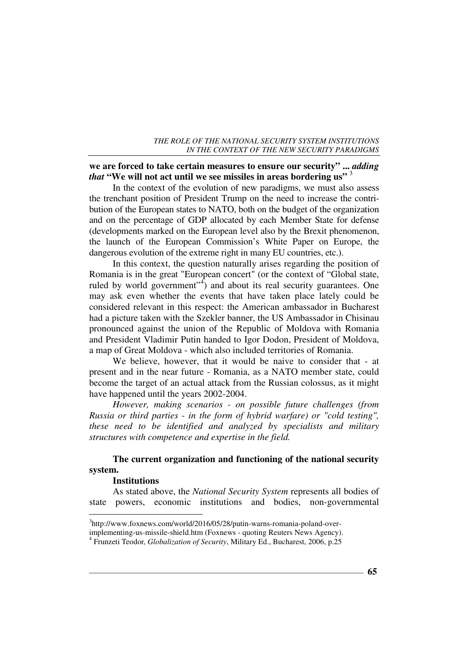# **we are forced to take certain measures to ensure our security" ...** *adding that* "We will not act until we see missiles in areas bordering us" <sup>3</sup>

In the context of the evolution of new paradigms, we must also assess the trenchant position of President Trump on the need to increase the contribution of the European states to NATO, both on the budget of the organization and on the percentage of GDP allocated by each Member State for defense (developments marked on the European level also by the Brexit phenomenon, the launch of the European Commission's White Paper on Europe, the dangerous evolution of the extreme right in many EU countries, etc.).

In this context, the question naturally arises regarding the position of Romania is in the great "European concert" (or the context of "Global state, ruled by world government"<sup>4</sup>) and about its real security guarantees. One may ask even whether the events that have taken place lately could be considered relevant in this respect: the American ambassador in Bucharest had a picture taken with the Szekler banner, the US Ambassador in Chisinau pronounced against the union of the Republic of Moldova with Romania and President Vladimir Putin handed to Igor Dodon, President of Moldova, a map of Great Moldova - which also included territories of Romania.

We believe, however, that it would be naive to consider that - at present and in the near future - Romania, as a NATO member state, could become the target of an actual attack from the Russian colossus, as it might have happened until the years 2002-2004.

*However, making scenarios - on possible future challenges (from Russia or third parties - in the form of hybrid warfare) or "cold testing", these need to be identified and analyzed by specialists and military structures with competence and expertise in the field.* 

# **The current organization and functioning of the national security system.**

#### **Institutions**

 $\overline{a}$ 

As stated above, the *National Security System* represents all bodies of state powers, economic institutions and bodies, non-governmental

<sup>&</sup>lt;sup>3</sup>http://www.foxnews.com/world/2016/05/28/putin-warns-romania-poland-over-

implementing-us-missile-shield.htm (Foxnews - quoting Reuters News Agency).

<sup>4</sup> Frunzeti Teodor, *Globalization of Security*, Military Ed., Bucharest, 2006, p.25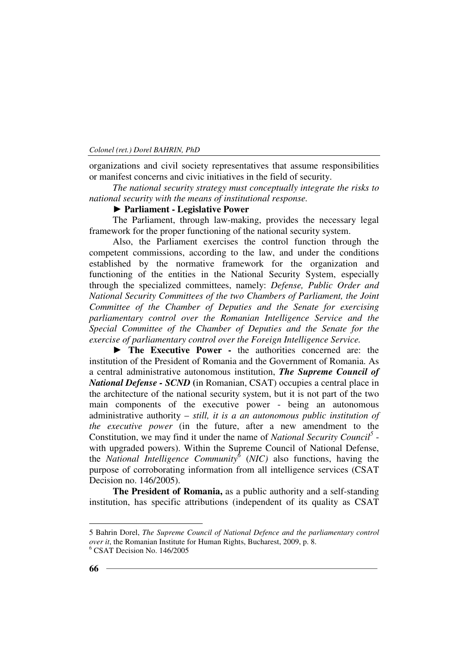organizations and civil society representatives that assume responsibilities or manifest concerns and civic initiatives in the field of security.

*The national security strategy must conceptually integrate the risks to national security with the means of institutional response.* 

#### **► Parliament - Legislative Power**

The Parliament, through law-making, provides the necessary legal framework for the proper functioning of the national security system.

Also, the Parliament exercises the control function through the competent commissions, according to the law, and under the conditions established by the normative framework for the organization and functioning of the entities in the National Security System, especially through the specialized committees, namely: *Defense, Public Order and National Security Committees of the two Chambers of Parliament, the Joint Committee of the Chamber of Deputies and the Senate for exercising parliamentary control over the Romanian Intelligence Service and the Special Committee of the Chamber of Deputies and the Senate for the exercise of parliamentary control over the Foreign Intelligence Service.* 

► **The Executive Power -** the authorities concerned are: the institution of the President of Romania and the Government of Romania. As a central administrative autonomous institution, *The Supreme Council of National Defense - SCND* **(**in Romanian, CSAT) occupies a central place in the architecture of the national security system, but it is not part of the two main components of the executive power - being an autonomous administrative authority – *still, it is a an autonomous public institution of the executive power* (in the future, after a new amendment to the Constitution, we may find it under the name of *National Security Council<sup>5</sup>* with upgraded powers). Within the Supreme Council of National Defense, the *National Intelligence Community<sup>6</sup>* (*NIC)* also functions, having the purpose of corroborating information from all intelligence services (CSAT Decision no. 146/2005).

**The President of Romania,** as a public authority and a self-standing institution, has specific attributions (independent of its quality as CSAT

<sup>5</sup> Bahrin Dorel, *The Supreme Council of National Defence and the parliamentary control over it*, the Romanian Institute for Human Rights, Bucharest, 2009, p. 8.

<sup>6</sup> CSAT Decision No. 146/2005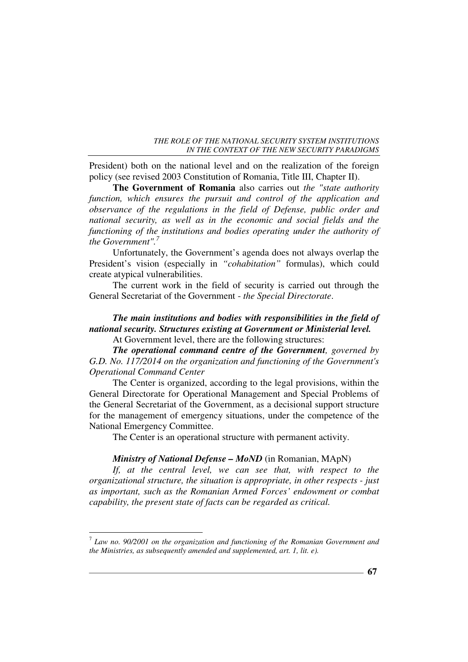President) both on the national level and on the realization of the foreign policy (see revised 2003 Constitution of Romania, Title III, Chapter II).

**The Government of Romania** also carries out *the "state authority function, which ensures the pursuit and control of the application and observance of the regulations in the field of Defense, public order and national security, as well as in the economic and social fields and the functioning of the institutions and bodies operating under the authority of the Government".<sup>7</sup>* 

Unfortunately, the Government's agenda does not always overlap the President's vision (especially in *"cohabitation"* formulas), which could create atypical vulnerabilities.

The current work in the field of security is carried out through the General Secretariat of the Government - *the Special Directorate*.

### *The main institutions and bodies with responsibilities in the field of national security. Structures existing at Government or Ministerial level.*  At Government level, there are the following structures:

*The operational command centre of the Government, governed by G.D. No. 117/2014 on the organization and functioning of the Government's Operational Command Center* 

The Center is organized, according to the legal provisions, within the General Directorate for Operational Management and Special Problems of the General Secretariat of the Government, as a decisional support structure for the management of emergency situations, under the competence of the National Emergency Committee.

The Center is an operational structure with permanent activity.

#### *Ministry of National Defense – MoND* (in Romanian, MApN)

*If, at the central level, we can see that, with respect to the organizational structure, the situation is appropriate, in other respects - just as important, such as the Romanian Armed Forces' endowment or combat capability, the present state of facts can be regarded as critical.* 

 7 *Law no. 90/2001 on the organization and functioning of the Romanian Government and the Ministries, as subsequently amended and supplemented, art. 1, lit. e).*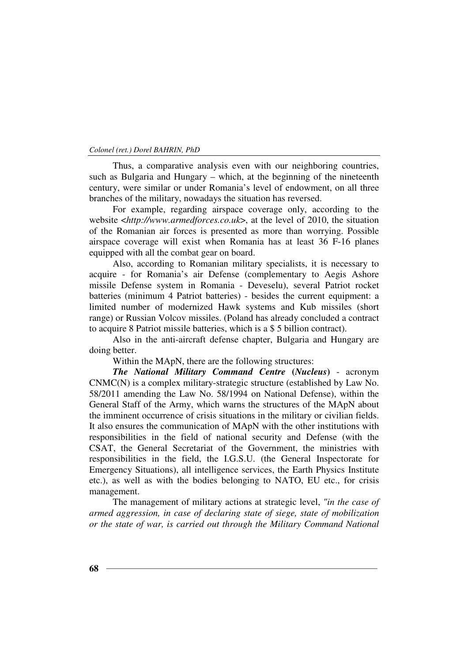Thus, a comparative analysis even with our neighboring countries, such as Bulgaria and Hungary – which, at the beginning of the nineteenth century, were similar or under Romania's level of endowment, on all three branches of the military, nowadays the situation has reversed.

For example, regarding airspace coverage only, according to the website <*http://www.armedforces.co.uk*>, at the level of 2010, the situation of the Romanian air forces is presented as more than worrying. Possible airspace coverage will exist when Romania has at least 36 F-16 planes equipped with all the combat gear on board.

Also, according to Romanian military specialists, it is necessary to acquire - for Romania's air Defense (complementary to Aegis Ashore missile Defense system in Romania - Deveselu), several Patriot rocket batteries (minimum 4 Patriot batteries) - besides the current equipment: a limited number of modernized Hawk systems and Kub missiles (short range) or Russian Volcov missiles. (Poland has already concluded a contract to acquire 8 Patriot missile batteries, which is a \$ 5 billion contract).

Also in the anti-aircraft defense chapter, Bulgaria and Hungary are doing better.

Within the MApN, there are the following structures:

*The National Military Command Centre* **(***Nucleus***)** - acronym CNMC(N) is a complex military-strategic structure (established by Law No. 58/2011 amending the Law No. 58/1994 on National Defense), within the General Staff of the Army, which warns the structures of the MApN about the imminent occurrence of crisis situations in the military or civilian fields. It also ensures the communication of MApN with the other institutions with responsibilities in the field of national security and Defense (with the CSAT, the General Secretariat of the Government, the ministries with responsibilities in the field, the I.G.S.U. (the General Inspectorate for Emergency Situations), all intelligence services, the Earth Physics Institute etc.), as well as with the bodies belonging to NATO, EU etc., for crisis management.

The management of military actions at strategic level, *"in the case of armed aggression, in case of declaring state of siege, state of mobilization or the state of war, is carried out through the Military Command National*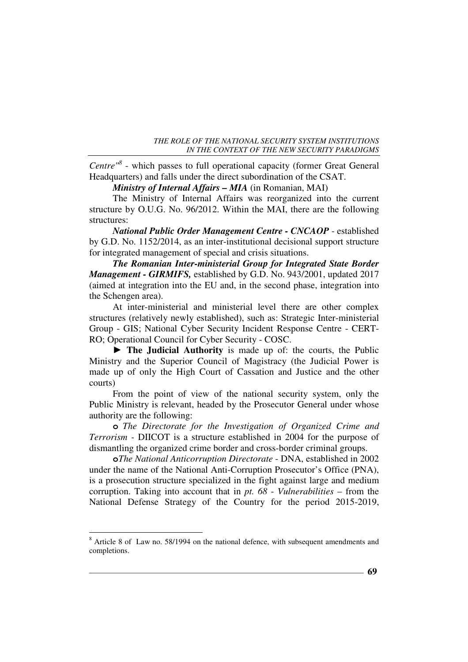*Centre"<sup>8</sup>* - which passes to full operational capacity (former Great General Headquarters) and falls under the direct subordination of the CSAT.

*Ministry of Internal Affairs – MIA* (in Romanian, MAI)

The Ministry of Internal Affairs was reorganized into the current structure by O.U.G. No. 96/2012. Within the MAI, there are the following structures:

*National Public Order Management Centre - CNCAOP* - established by G.D. No. 1152/2014, as an inter-institutional decisional support structure for integrated management of special and crisis situations.

*The Romanian Inter-ministerial Group for Integrated State Border Management - GIRMIFS,* established by G.D. No. 943/2001, updated 2017 (aimed at integration into the EU and, in the second phase, integration into the Schengen area).

At inter-ministerial and ministerial level there are other complex structures (relatively newly established), such as: Strategic Inter-ministerial Group - GIS; National Cyber Security Incident Response Centre - CERT-RO; Operational Council for Cyber Security - COSC.

**► The Judicial Authority** is made up of: the courts, the Public Ministry and the Superior Council of Magistracy (the Judicial Power is made up of only the High Court of Cassation and Justice and the other courts)

From the point of view of the national security system, only the Public Ministry is relevant, headed by the Prosecutor General under whose authority are the following:

**o** *The Directorate for the Investigation of Organized Crime and Terrorism -* DIICOT is a structure established in 2004 for the purpose of dismantling the organized crime border and cross-border criminal groups.

**o***The National Anticorruption Directorate* - DNA, established in 2002 under the name of the National Anti-Corruption Prosecutor's Office (PNA), is a prosecution structure specialized in the fight against large and medium corruption. Taking into account that in *pt. 68* - *Vulnerabilities* – from the National Defense Strategy of the Country for the period 2015-2019,

<sup>&</sup>lt;sup>8</sup> Article 8 of Law no. 58/1994 on the national defence, with subsequent amendments and completions.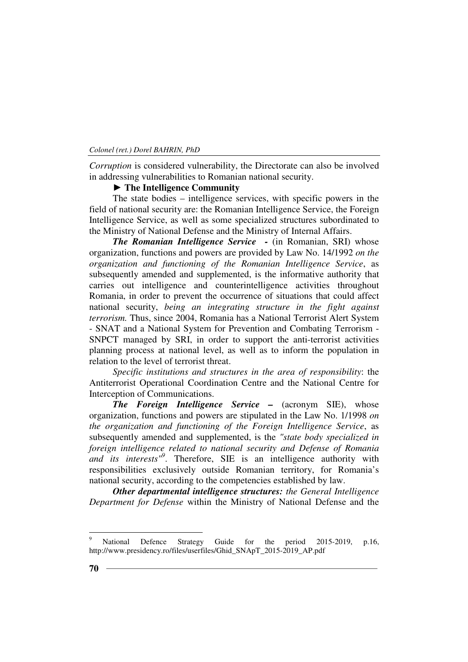*Corruption* is considered vulnerability, the Directorate can also be involved in addressing vulnerabilities to Romanian national security.

## **► The Intelligence Community**

The state bodies – intelligence services, with specific powers in the field of national security are: the Romanian Intelligence Service, the Foreign Intelligence Service, as well as some specialized structures subordinated to the Ministry of National Defense and the Ministry of Internal Affairs.

*The Romanian Intelligence Service -* (in Romanian, SRI) whose organization, functions and powers are provided by Law No. 14/1992 *on the organization and functioning of the Romanian Intelligence Service*, as subsequently amended and supplemented, is the informative authority that carries out intelligence and counterintelligence activities throughout Romania, in order to prevent the occurrence of situations that could affect national security, *being an integrating structure in the fight against terrorism.* Thus, since 2004, Romania has a National Terrorist Alert System - SNAT and a National System for Prevention and Combating Terrorism - SNPCT managed by SRI, in order to support the anti-terrorist activities planning process at national level, as well as to inform the population in relation to the level of terrorist threat.

*Specific institutions and structures in the area of responsibility*: the Antiterrorist Operational Coordination Centre and the National Centre for Interception of Communications.

*The Foreign Intelligence Service –* (acronym SIE), whose organization, functions and powers are stipulated in the Law No. 1/1998 *on the organization and functioning of the Foreign Intelligence Service*, as subsequently amended and supplemented, is the *"state body specialized in foreign intelligence related to national security and Defense of Romania and its interests"<sup>9</sup>* . Therefore, SIE is an intelligence authority with responsibilities exclusively outside Romanian territory, for Romania's national security, according to the competencies established by law.

*Other departmental intelligence structures: the General Intelligence Department for Defense* within the Ministry of National Defense and the

<sup>9</sup> National Defence Strategy Guide for the period 2015-2019, p.16, http://www.presidency.ro/files/userfiles/Ghid\_SNApT\_2015-2019\_AP.pdf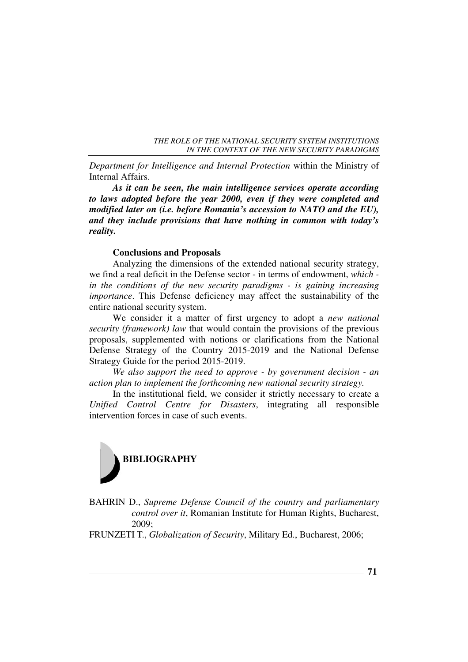*Department for Intelligence and Internal Protection* within the Ministry of Internal Affairs.

*As it can be seen, the main intelligence services operate according to laws adopted before the year 2000, even if they were completed and modified later on (i.e. before Romania's accession to NATO and the EU), and they include provisions that have nothing in common with today's reality.* 

#### **Conclusions and Proposals**

Analyzing the dimensions of the extended national security strategy, we find a real deficit in the Defense sector - in terms of endowment, *which in the conditions of the new security paradigms - is gaining increasing importance*. This Defense deficiency may affect the sustainability of the entire national security system.

We consider it a matter of first urgency to adopt a *new national security (framework) law* that would contain the provisions of the previous proposals, supplemented with notions or clarifications from the National Defense Strategy of the Country 2015-2019 and the National Defense Strategy Guide for the period 2015-2019.

*We also support the need to approve - by government decision - an action plan to implement the forthcoming new national security strategy.* 

In the institutional field, we consider it strictly necessary to create a *Unified Control Centre for Disasters*, integrating all responsible intervention forces in case of such events.



BAHRIN D., *Supreme Defense Council of the country and parliamentary control over it*, Romanian Institute for Human Rights, Bucharest, 2009;

FRUNZETI T., *Globalization of Security*, Military Ed., Bucharest, 2006;